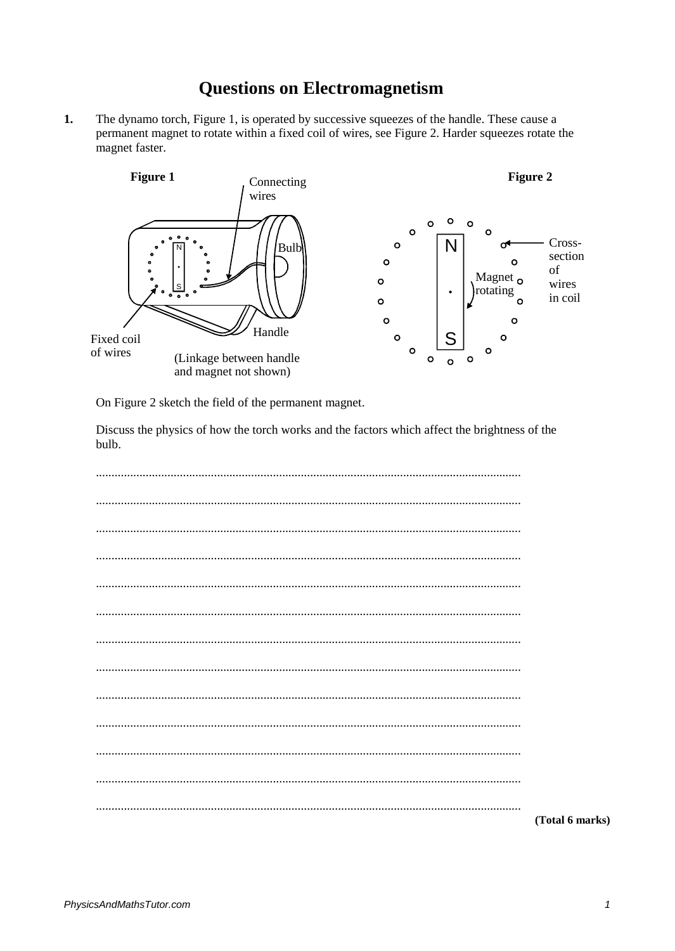## **Questions on Electromagnetism**

 $1.$ The dynamo torch, Figure 1, is operated by successive squeezes of the handle. These cause a permanent magnet to rotate within a fixed coil of wires, see Figure 2. Harder squeezes rotate the magnet faster.



On Figure 2 sketch the field of the permanent magnet.

Discuss the physics of how the torch works and the factors which affect the brightness of the bulb.

| (Total 6 marks) |
|-----------------|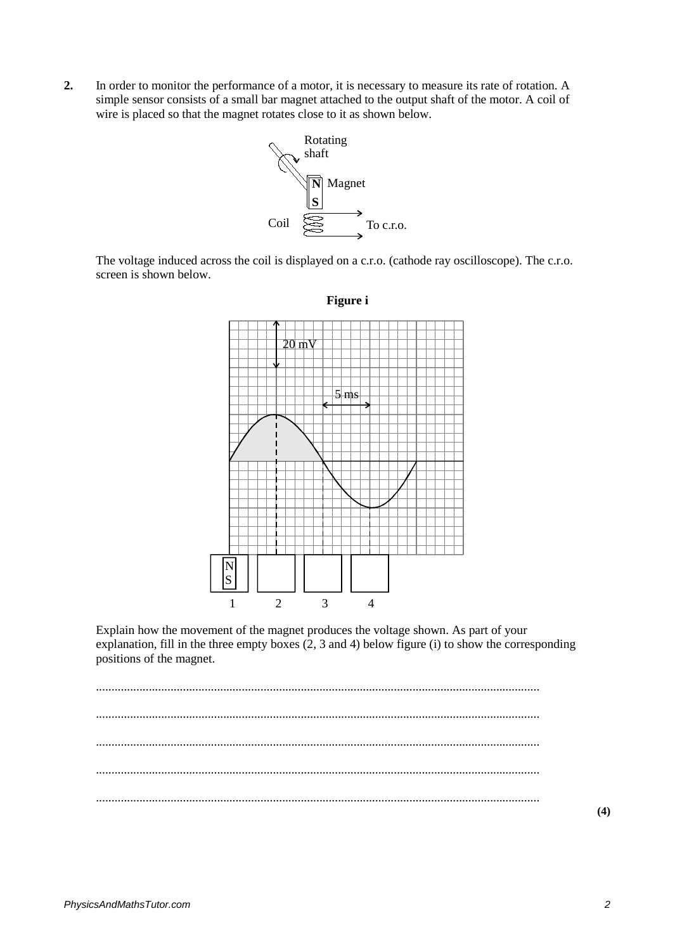**2.** In order to monitor the performance of a motor, it is necessary to measure its rate of rotation. A simple sensor consists of a small bar magnet attached to the output shaft of the motor. A coil of wire is placed so that the magnet rotates close to it as shown below.



The voltage induced across the coil is displayed on a c.r.o. (cathode ray oscilloscope). The c.r.o. screen is shown below.



**Figure i**

Explain how the movement of the magnet produces the voltage shown. As part of your explanation, fill in the three empty boxes (2, 3 and 4) below figure (i) to show the corresponding positions of the magnet.

............................................................................................................................................... ............................................................................................................................................... ............................................................................................................................................... ............................................................................................................................................... ...............................................................................................................................................

**(4)**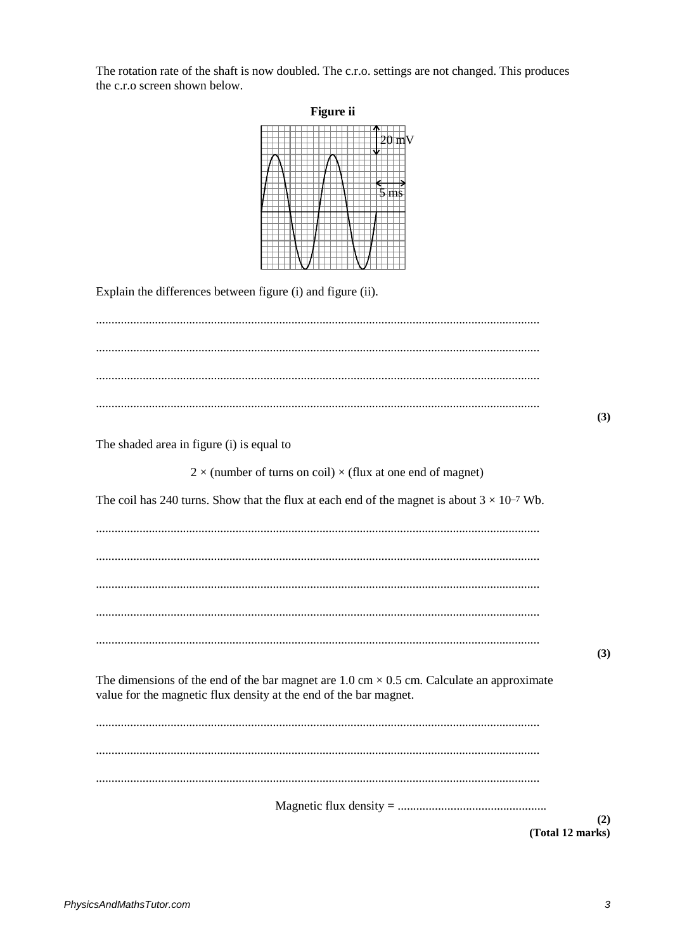The rotation rate of the shaft is now doubled. The c.r.o. settings are not changed. This produces the c.r.o screen shown below.

| Figure ii                                                                                                                                                                              |     |
|----------------------------------------------------------------------------------------------------------------------------------------------------------------------------------------|-----|
|                                                                                                                                                                                        |     |
| Explain the differences between figure (i) and figure (ii).                                                                                                                            |     |
|                                                                                                                                                                                        | (3) |
| The shaded area in figure (i) is equal to                                                                                                                                              |     |
|                                                                                                                                                                                        |     |
| $2 \times$ (number of turns on coil) $\times$ (flux at one end of magnet)                                                                                                              |     |
| The coil has 240 turns. Show that the flux at each end of the magnet is about $3 \times 10^{-7}$ Wb.                                                                                   |     |
|                                                                                                                                                                                        |     |
|                                                                                                                                                                                        |     |
|                                                                                                                                                                                        |     |
|                                                                                                                                                                                        |     |
|                                                                                                                                                                                        |     |
| The dimensions of the end of the bar magnet are $1.0 \text{ cm} \times 0.5 \text{ cm}$ . Calculate an approximate<br>value for the magnetic flux density at the end of the bar magnet. | (3) |
|                                                                                                                                                                                        |     |
|                                                                                                                                                                                        |     |
|                                                                                                                                                                                        |     |
| (Total 12 marks)                                                                                                                                                                       | (2) |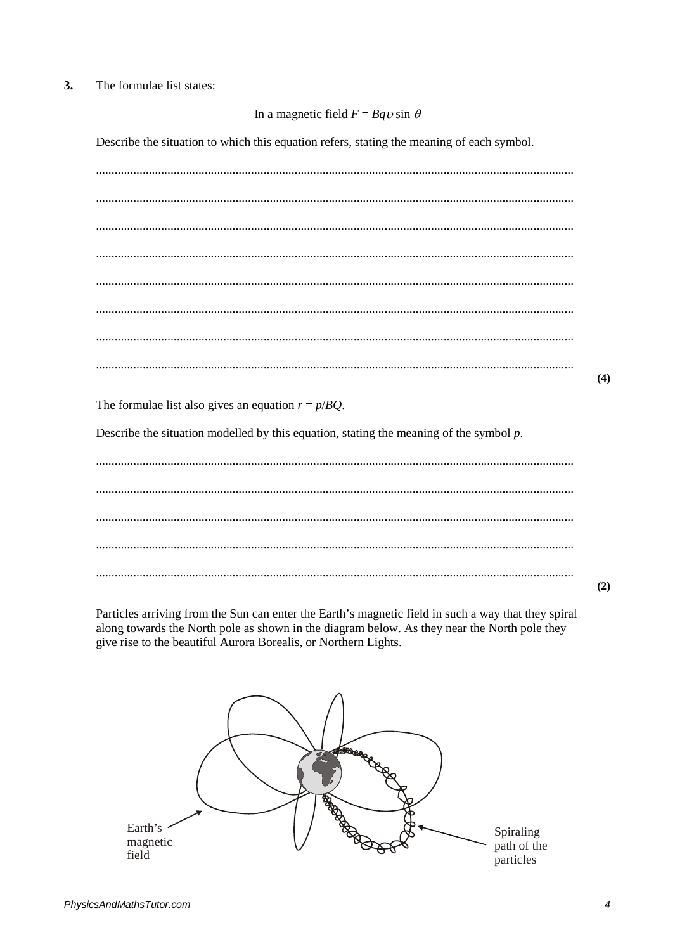## $3.$ The formulae list states:

## In a magnetic field  $F = Bqv \sin \theta$

Describe the situation to which this equation refers, stating the meaning of each symbol.

 $(4)$ 

The formulae list also gives an equation  $r = p/BQ$ .

Describe the situation modelled by this equation, stating the meaning of the symbol  $p$ .

 $(2)$ 

Particles arriving from the Sun can enter the Earth's magnetic field in such a way that they spiral along towards the North pole as shown in the diagram below. As they near the North pole they give rise to the beautiful Aurora Borealis, or Northern Lights.

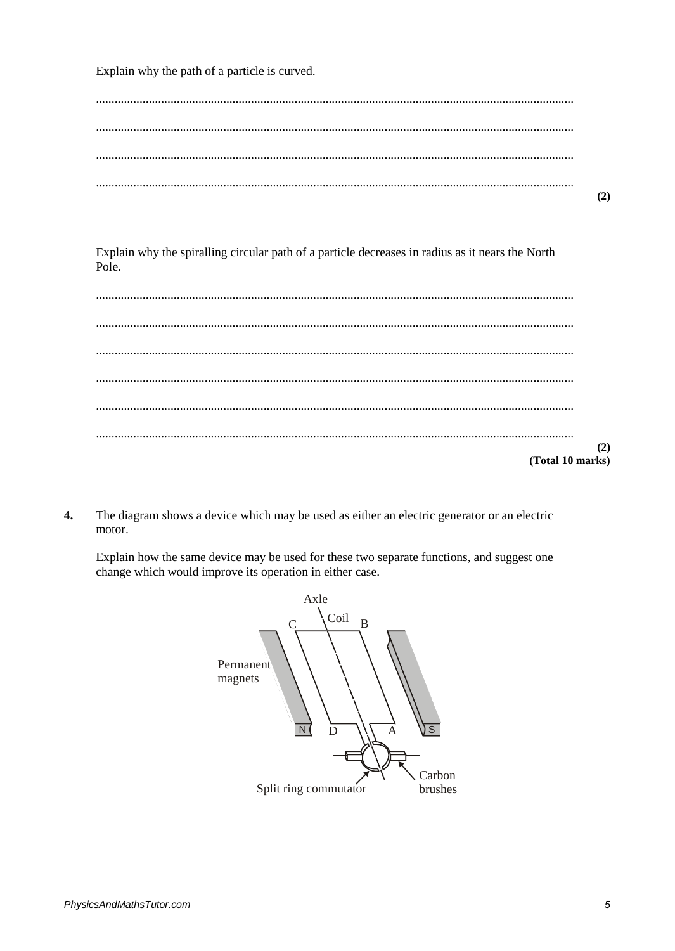Explain why the path of a particle is curved.

Explain why the spiralling circular path of a particle decreases in radius as it nears the North Pole.

 $(2)$ (Total 10 marks)

 $\overline{4}$ . The diagram shows a device which may be used as either an electric generator or an electric motor.

Explain how the same device may be used for these two separate functions, and suggest one change which would improve its operation in either case.

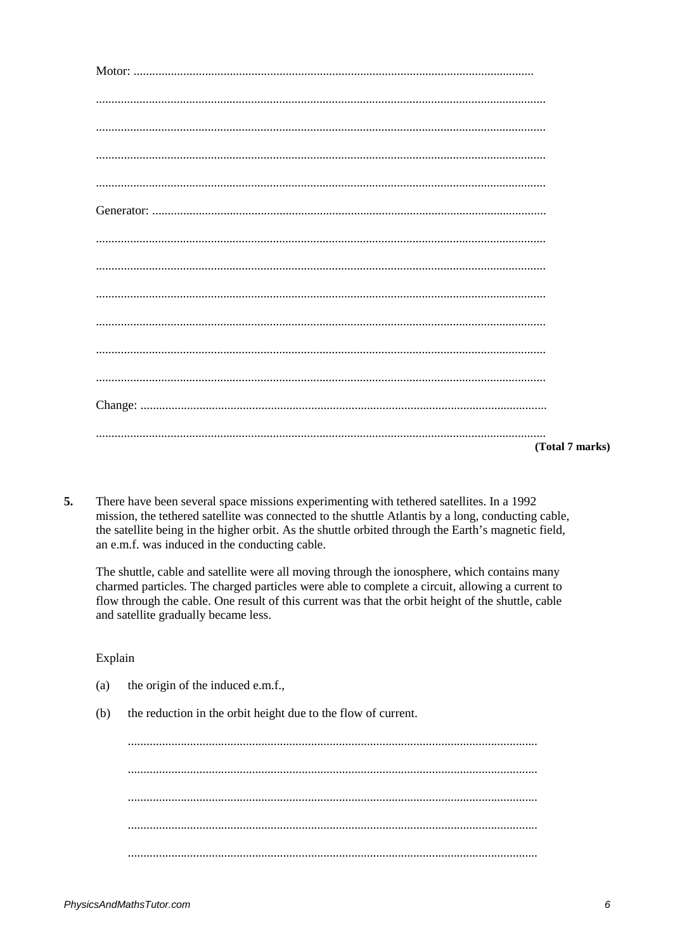| (Total 7 marks) |
|-----------------|

5. There have been several space missions experimenting with tethered satellites. In a 1992 mission, the tethered satellite was connected to the shuttle Atlantis by a long, conducting cable, the satellite being in the higher orbit. As the shuttle orbited through the Earth's magnetic field, an e.m.f. was induced in the conducting cable.

The shuttle, cable and satellite were all moving through the ionosphere, which contains many charmed particles. The charged particles were able to complete a circuit, allowing a current to flow through the cable. One result of this current was that the orbit height of the shuttle, cable and satellite gradually became less.

Explain

- $(a)$ the origin of the induced e.m.f.,
- $(b)$ the reduction in the orbit height due to the flow of current.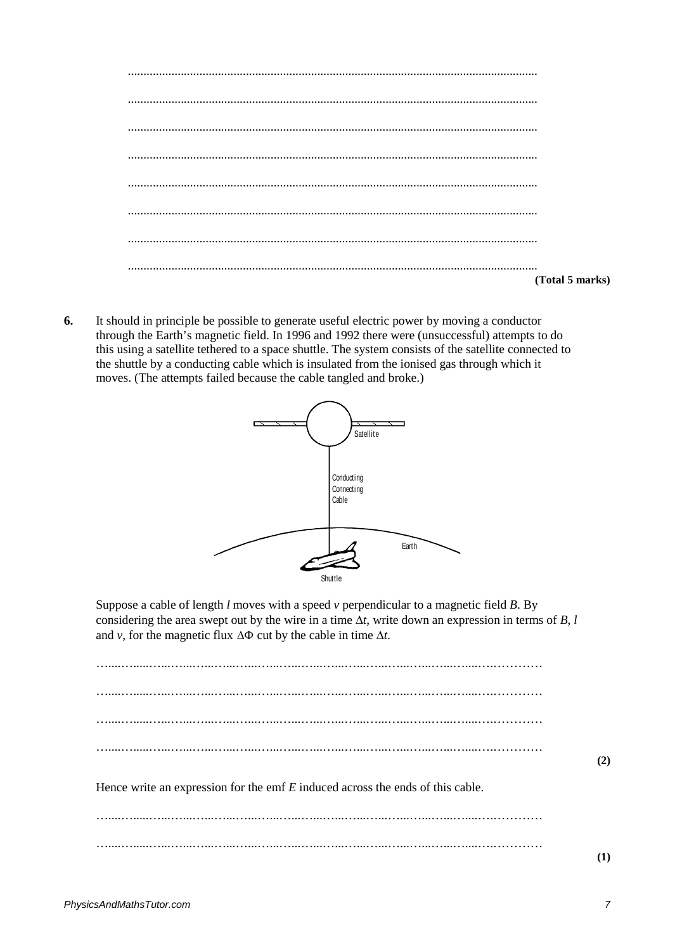| (Total 5 marks) |
|-----------------|

**6.** It should in principle be possible to generate useful electric power by moving a conductor through the Earth's magnetic field. In 1996 and 1992 there were (unsuccessful) attempts to do this using a satellite tethered to a space shuttle. The system consists of the satellite connected to the shuttle by a conducting cable which is insulated from the ionised gas through which it moves. (The attempts failed because the cable tangled and broke.)



Suppose a cable of length *l* moves with a speed *v* perpendicular to a magnetic field *B*. By considering the area swept out by the wire in a time  $\Delta t$ , write down an expression in terms of *B*, *l* and *v*, for the magnetic flux ∆Φ cut by the cable in time ∆*t*.

…....….....…...…...…...…...…...…...…...…...…...…...…...…...…...…...…....….………… …....….....…...…...…...…...…...…...…...…...…...…...…...…...…...…...…....….………… …....….....…...…...…...…...…...…...…...…...…...…...…...…...…...…...…....….………… …....….....…...…...…...…...…...…...…...…...…...…...…...…...…...…...…....….………… Hence write an expression for the emf *E* induced across the ends of this cable. …....….....…...…...…...…...…...…...…...…...…...…...…...…...…...…...…....….…………

…....….....…...…...…...…...…...…...…...…...…...…...…...…...…...…...…....….…………

**(1)**

**(2)**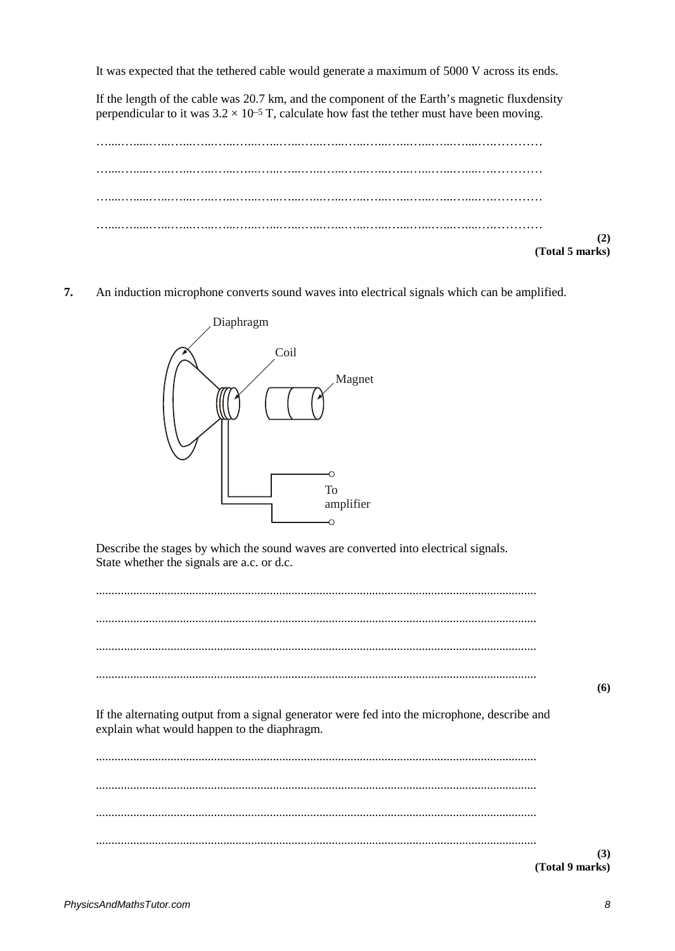It was expected that the tethered cable would generate a maximum of 5000 V across its ends.

If the length of the cable was 20.7 km, and the component of the Earth's magnetic fluxdensity perpendicular to it was  $3.2 \times 10^{-5}$  T, calculate how fast the tether must have been moving.



7. An induction microphone converts sound waves into electrical signals which can be amplified.



Describe the stages by which the sound waves are converted into electrical signals. State whether the signals are a.c. or d.c.

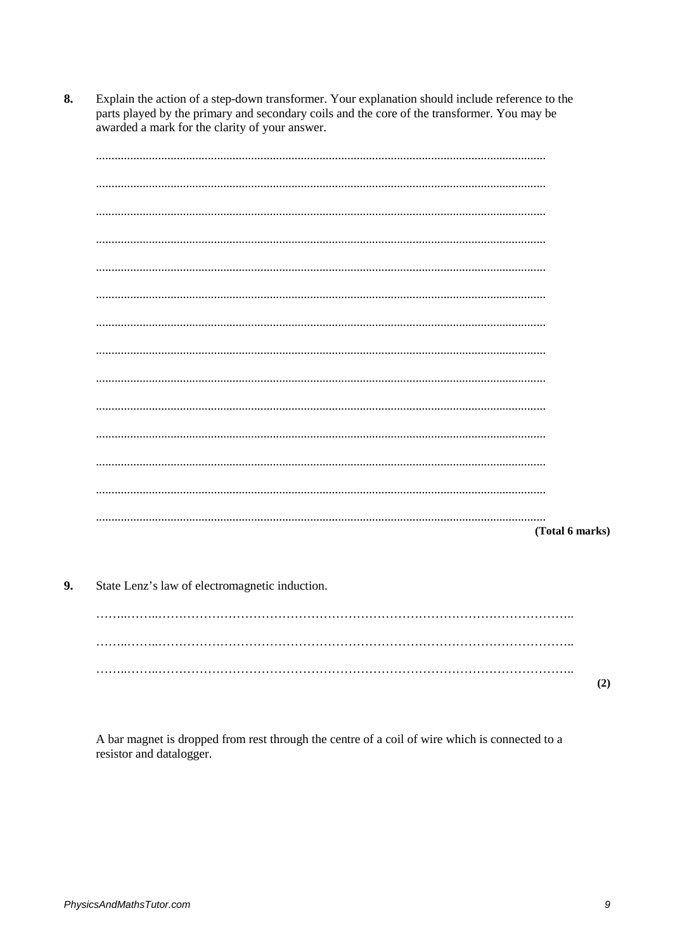$\mathbf{8}$ Explain the action of a step-down transformer. Your explanation should include reference to the parts played by the primary and secondary coils and the core of the transformer. You may be awarded a mark for the clarity of your answer.

(Total 6 marks)

9. State Lenz's law of electromagnetic induction.

> $(2)$

A bar magnet is dropped from rest through the centre of a coil of wire which is connected to a resistor and datalogger.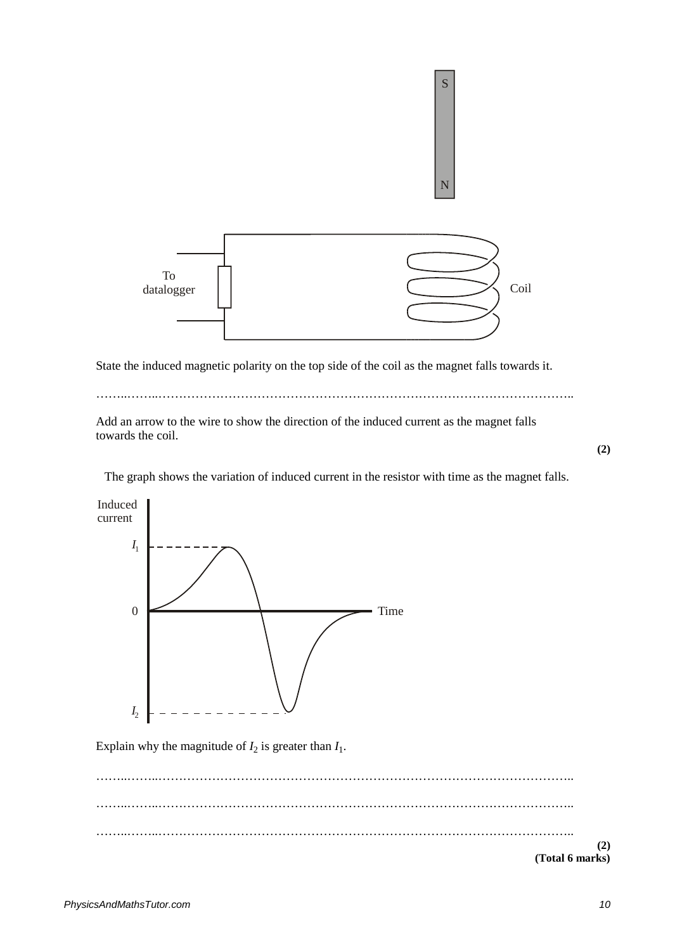

State the induced magnetic polarity on the top side of the coil as the magnet falls towards it.

……..……..………………………………………………………………………………………..

Add an arrow to the wire to show the direction of the induced current as the magnet falls towards the coil.

**(2)**

The graph shows the variation of induced current in the resistor with time as the magnet falls.



Explain why the magnitude of  $I_2$  is greater than  $I_1$ .

……..……..……………………………………………………………………………………….. ……..……..……………………………………………………………………………………….. ……..……..……………………………………………………………………………………….. **(2) (Total 6 marks)**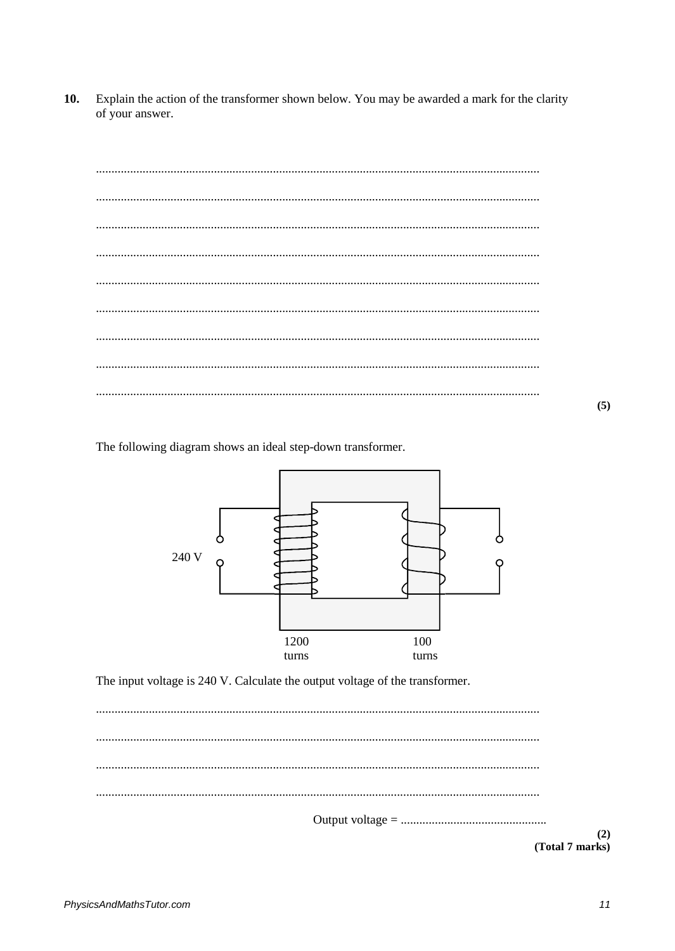$10.$ Explain the action of the transformer shown below. You may be awarded a mark for the clarity of your answer.

 $(5)$ 

The following diagram shows an ideal step-down transformer.



The input voltage is 240 V. Calculate the output voltage of the transformer.

 $(2)$ (Total 7 marks)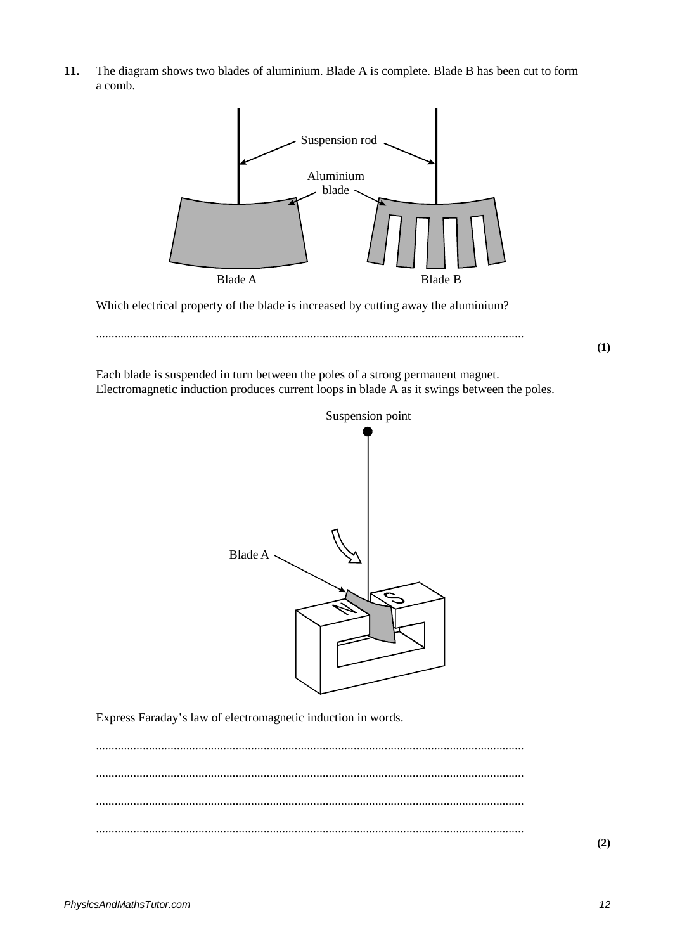**11.** The diagram shows two blades of aluminium. Blade A is complete. Blade B has been cut to form a comb.



Which electrical property of the blade is increased by cutting away the aluminium?



Each blade is suspended in turn between the poles of a strong permanent magnet. Electromagnetic induction produces current loops in blade A as it swings between the poles.



Express Faraday's law of electromagnetic induction in words.

.......................................................................................................................................... .......................................................................................................................................... .......................................................................................................................................... ..........................................................................................................................................

**(2)**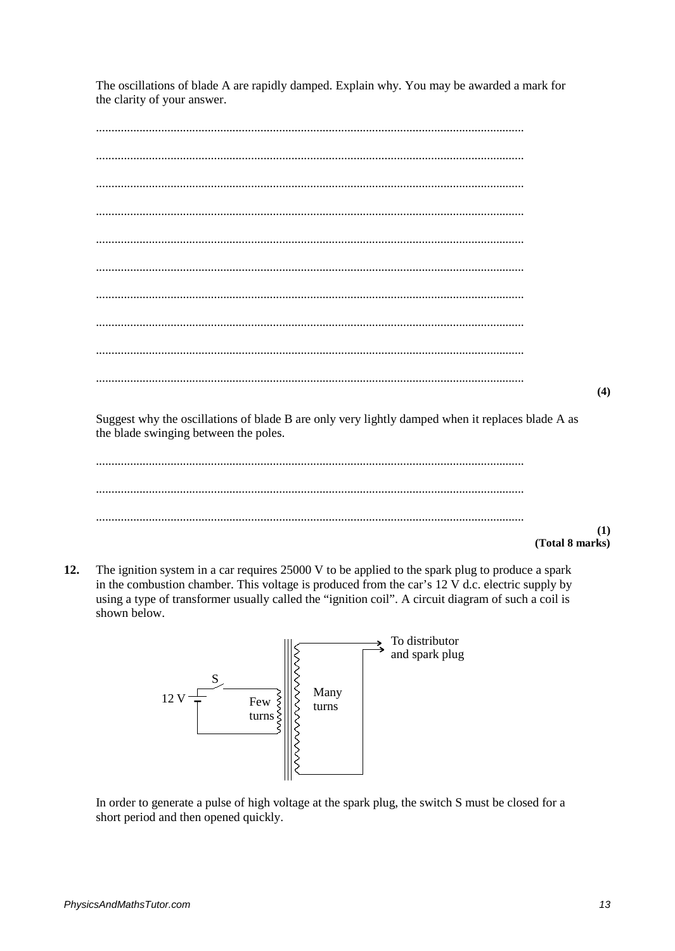The oscillations of blade A are rapidly damped. Explain why. You may be awarded a mark for the clarity of your answer.

 $(4)$ 

Suggest why the oscillations of blade B are only very lightly damped when it replaces blade A as the blade swinging between the poles.

 $(1)$ (Total 8 marks)

12. The ignition system in a car requires 25000 V to be applied to the spark plug to produce a spark in the combustion chamber. This voltage is produced from the car's  $12 \text{ V d.c.}$  electric supply by using a type of transformer usually called the "ignition coil". A circuit diagram of such a coil is shown below.



In order to generate a pulse of high voltage at the spark plug, the switch S must be closed for a short period and then opened quickly.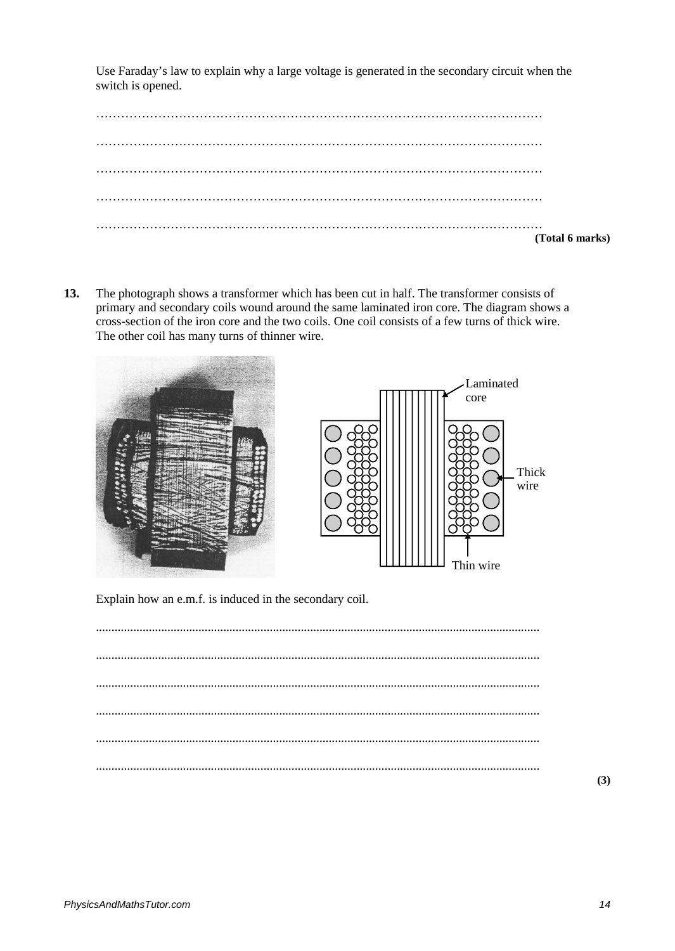Use Faraday's law to explain why a large voltage is generated in the secondary circuit when the switch is opened.

|  | (Total 6 marks) |  |
|--|-----------------|--|
|  |                 |  |

**13.** The photograph shows a transformer which has been cut in half. The transformer consists of primary and secondary coils wound around the same laminated iron core. The diagram shows a cross-section of the iron core and the two coils. One coil consists of a few turns of thick wire. The other coil has many turns of thinner wire.



Explain how an e.m.f. is induced in the secondary coil.

**(3)**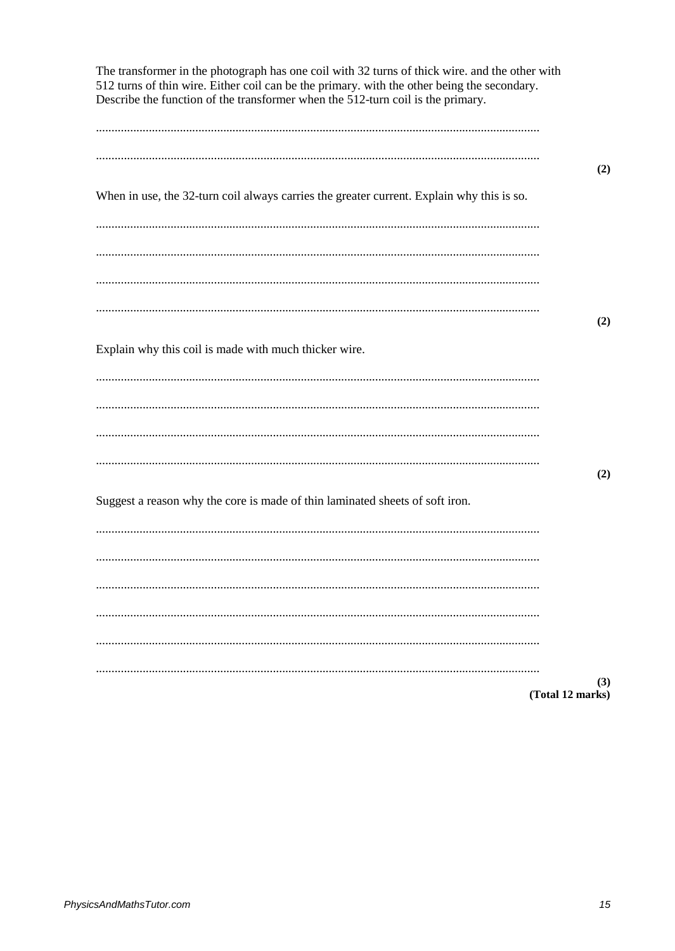| The transformer in the photograph has one coil with 32 turns of thick wire. and the other with<br>512 turns of thin wire. Either coil can be the primary. with the other being the secondary.<br>Describe the function of the transformer when the 512-turn coil is the primary. |                         |
|----------------------------------------------------------------------------------------------------------------------------------------------------------------------------------------------------------------------------------------------------------------------------------|-------------------------|
|                                                                                                                                                                                                                                                                                  |                         |
|                                                                                                                                                                                                                                                                                  | (2)                     |
| When in use, the 32-turn coil always carries the greater current. Explain why this is so.                                                                                                                                                                                        |                         |
|                                                                                                                                                                                                                                                                                  |                         |
|                                                                                                                                                                                                                                                                                  |                         |
|                                                                                                                                                                                                                                                                                  |                         |
|                                                                                                                                                                                                                                                                                  | (2)                     |
| Explain why this coil is made with much thicker wire.                                                                                                                                                                                                                            |                         |
|                                                                                                                                                                                                                                                                                  |                         |
|                                                                                                                                                                                                                                                                                  |                         |
|                                                                                                                                                                                                                                                                                  |                         |
| Suggest a reason why the core is made of thin laminated sheets of soft iron.                                                                                                                                                                                                     | (2)                     |
|                                                                                                                                                                                                                                                                                  |                         |
|                                                                                                                                                                                                                                                                                  |                         |
|                                                                                                                                                                                                                                                                                  |                         |
|                                                                                                                                                                                                                                                                                  |                         |
|                                                                                                                                                                                                                                                                                  |                         |
|                                                                                                                                                                                                                                                                                  | (3)<br>(Total 12 marks) |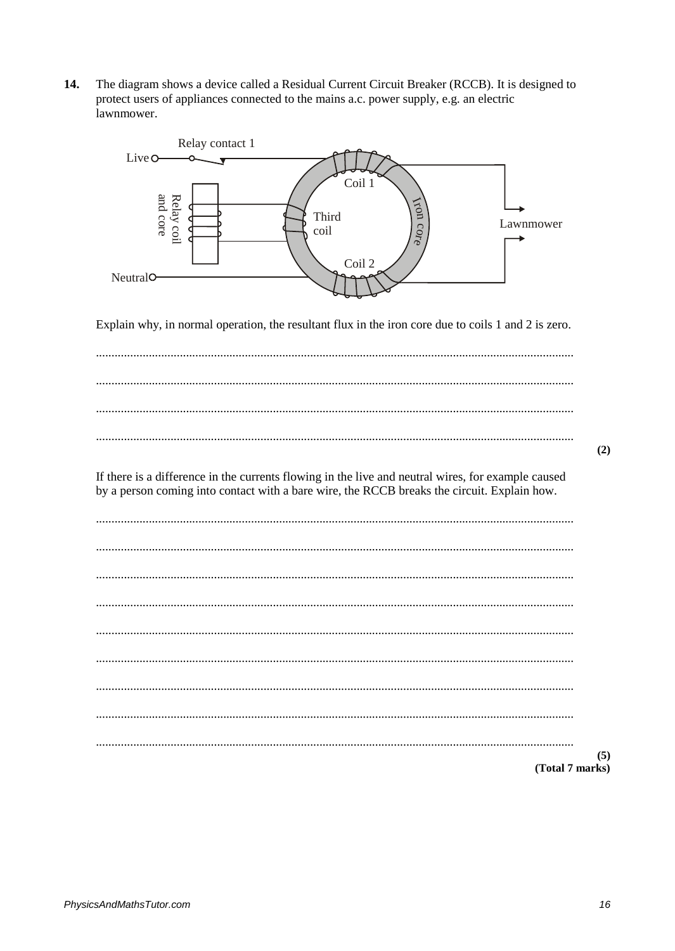$14.$ The diagram shows a device called a Residual Current Circuit Breaker (RCCB). It is designed to protect users of appliances connected to the mains a.c. power supply, e.g. an electric lawnmower.



Explain why, in normal operation, the resultant flux in the iron core due to coils 1 and 2 is zero.

 $(2)$ 

If there is a difference in the currents flowing in the live and neutral wires, for example caused by a person coming into contact with a bare wire, the RCCB breaks the circuit. Explain how.

 $(5)$ (Total 7 marks)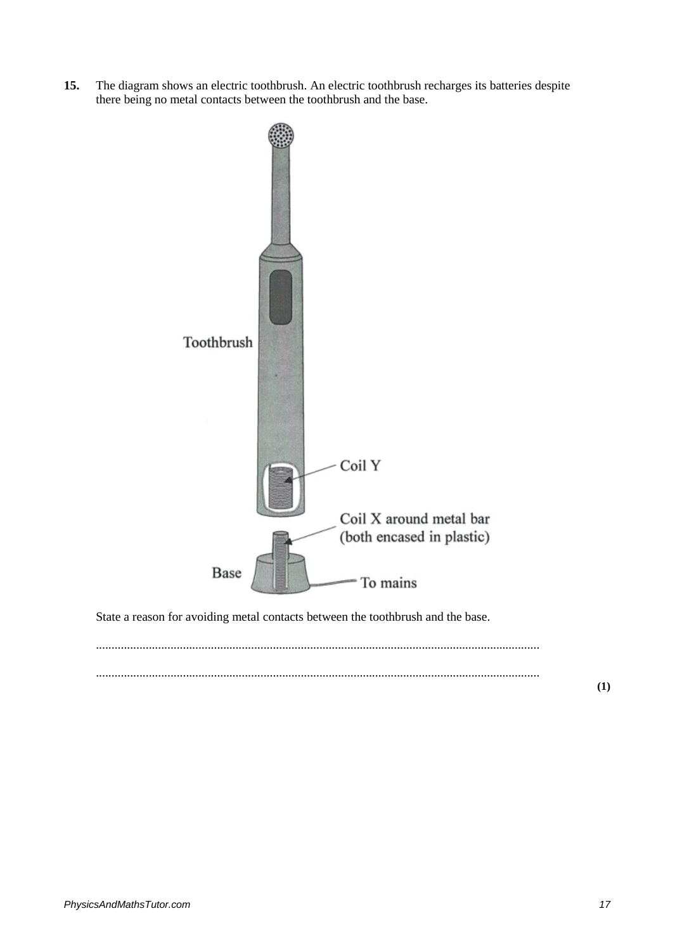**15.** The diagram shows an electric toothbrush. An electric toothbrush recharges its batteries despite there being no metal contacts between the toothbrush and the base.



State a reason for avoiding metal contacts between the toothbrush and the base.

............................................................................................................................................... ...............................................................................................................................................

**(1)**